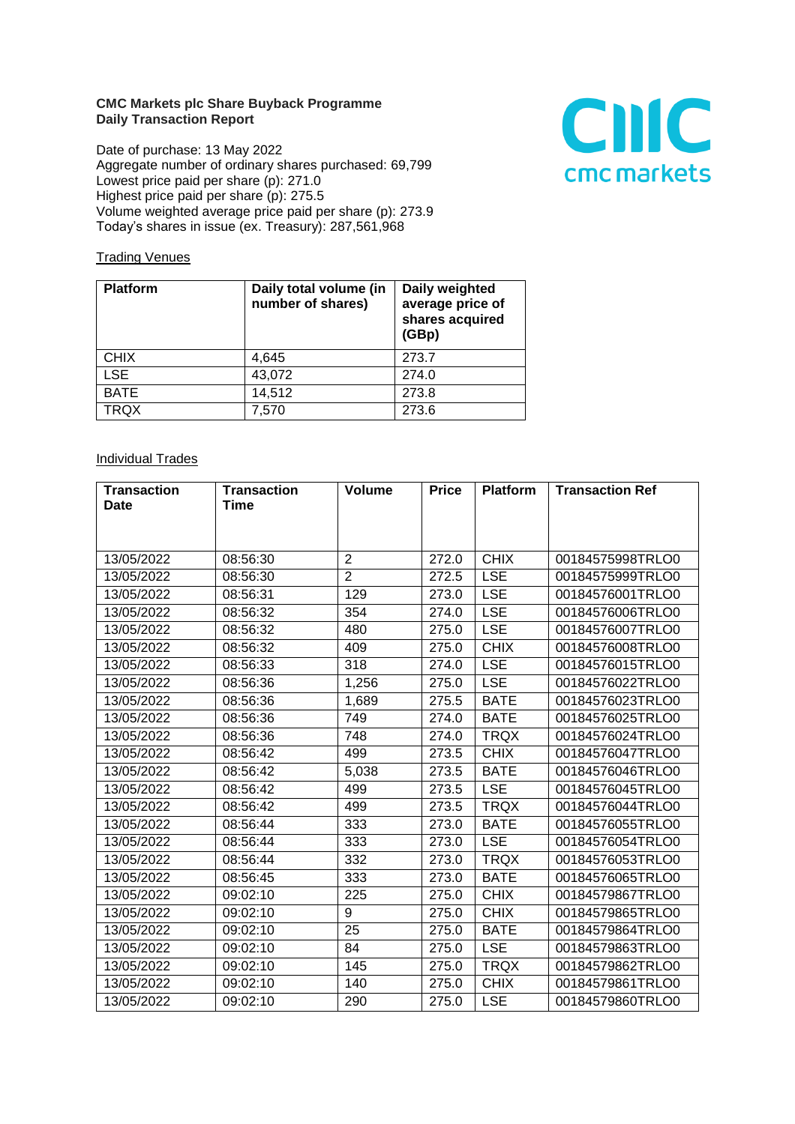## **CMC Markets plc Share Buyback Programme Daily Transaction Report**

Date of purchase: 13 May 2022 Aggregate number of ordinary shares purchased: 69,799 Lowest price paid per share (p): 271.0 Highest price paid per share (p): 275.5 Volume weighted average price paid per share (p): 273.9 Today's shares in issue (ex. Treasury): 287,561,968



## **Trading Venues**

| <b>Platform</b> | Daily total volume (in<br>number of shares) | Daily weighted<br>average price of<br>shares acquired<br>(GBp) |
|-----------------|---------------------------------------------|----------------------------------------------------------------|
| <b>CHIX</b>     | 4.645                                       | 273.7                                                          |
| <b>LSE</b>      | 43,072                                      | 274.0                                                          |
| <b>BATE</b>     | 14,512                                      | 273.8                                                          |
| <b>TRQX</b>     | 7,570                                       | 273.6                                                          |

## **Individual Trades**

| <b>Transaction</b> | <b>Transaction</b> | <b>Volume</b>  | <b>Price</b> | <b>Platform</b> | <b>Transaction Ref</b> |
|--------------------|--------------------|----------------|--------------|-----------------|------------------------|
| <b>Date</b>        | Time               |                |              |                 |                        |
|                    |                    |                |              |                 |                        |
|                    |                    |                |              |                 |                        |
| 13/05/2022         | 08:56:30           | $\overline{2}$ | 272.0        | <b>CHIX</b>     | 00184575998TRLO0       |
| 13/05/2022         | 08:56:30           | $\overline{2}$ | 272.5        | <b>LSE</b>      | 00184575999TRLO0       |
| 13/05/2022         | 08:56:31           | 129            | 273.0        | <b>LSE</b>      | 00184576001TRLO0       |
| 13/05/2022         | 08:56:32           | 354            | 274.0        | <b>LSE</b>      | 00184576006TRLO0       |
| 13/05/2022         | 08:56:32           | 480            | 275.0        | <b>LSE</b>      | 00184576007TRLO0       |
| 13/05/2022         | 08:56:32           | 409            | 275.0        | <b>CHIX</b>     | 00184576008TRLO0       |
| 13/05/2022         | 08:56:33           | 318            | 274.0        | <b>LSE</b>      | 00184576015TRLO0       |
| 13/05/2022         | 08:56:36           | 1,256          | 275.0        | <b>LSE</b>      | 00184576022TRLO0       |
| 13/05/2022         | 08:56:36           | 1,689          | 275.5        | <b>BATE</b>     | 00184576023TRLO0       |
| 13/05/2022         | 08:56:36           | 749            | 274.0        | <b>BATE</b>     | 00184576025TRLO0       |
| 13/05/2022         | 08:56:36           | 748            | 274.0        | <b>TRQX</b>     | 00184576024TRLO0       |
| 13/05/2022         | 08:56:42           | 499            | 273.5        | <b>CHIX</b>     | 00184576047TRLO0       |
| 13/05/2022         | 08:56:42           | 5,038          | 273.5        | <b>BATE</b>     | 00184576046TRLO0       |
| 13/05/2022         | 08:56:42           | 499            | 273.5        | <b>LSE</b>      | 00184576045TRLO0       |
| 13/05/2022         | 08:56:42           | 499            | 273.5        | <b>TRQX</b>     | 00184576044TRLO0       |
| 13/05/2022         | 08:56:44           | 333            | 273.0        | <b>BATE</b>     | 00184576055TRLO0       |
| 13/05/2022         | 08:56:44           | 333            | 273.0        | <b>LSE</b>      | 00184576054TRLO0       |
| 13/05/2022         | 08:56:44           | 332            | 273.0        | <b>TRQX</b>     | 00184576053TRLO0       |
| 13/05/2022         | 08:56:45           | 333            | 273.0        | <b>BATE</b>     | 00184576065TRLO0       |
| 13/05/2022         | 09:02:10           | 225            | 275.0        | <b>CHIX</b>     | 00184579867TRLO0       |
| 13/05/2022         | 09:02:10           | 9              | 275.0        | <b>CHIX</b>     | 00184579865TRLO0       |
| 13/05/2022         | 09:02:10           | 25             | 275.0        | <b>BATE</b>     | 00184579864TRLO0       |
| 13/05/2022         | 09:02:10           | 84             | 275.0        | <b>LSE</b>      | 00184579863TRLO0       |
| 13/05/2022         | 09:02:10           | 145            | 275.0        | <b>TRQX</b>     | 00184579862TRLO0       |
| 13/05/2022         | 09:02:10           | 140            | 275.0        | <b>CHIX</b>     | 00184579861TRLO0       |
| 13/05/2022         | 09:02:10           | 290            | 275.0        | <b>LSE</b>      | 00184579860TRLO0       |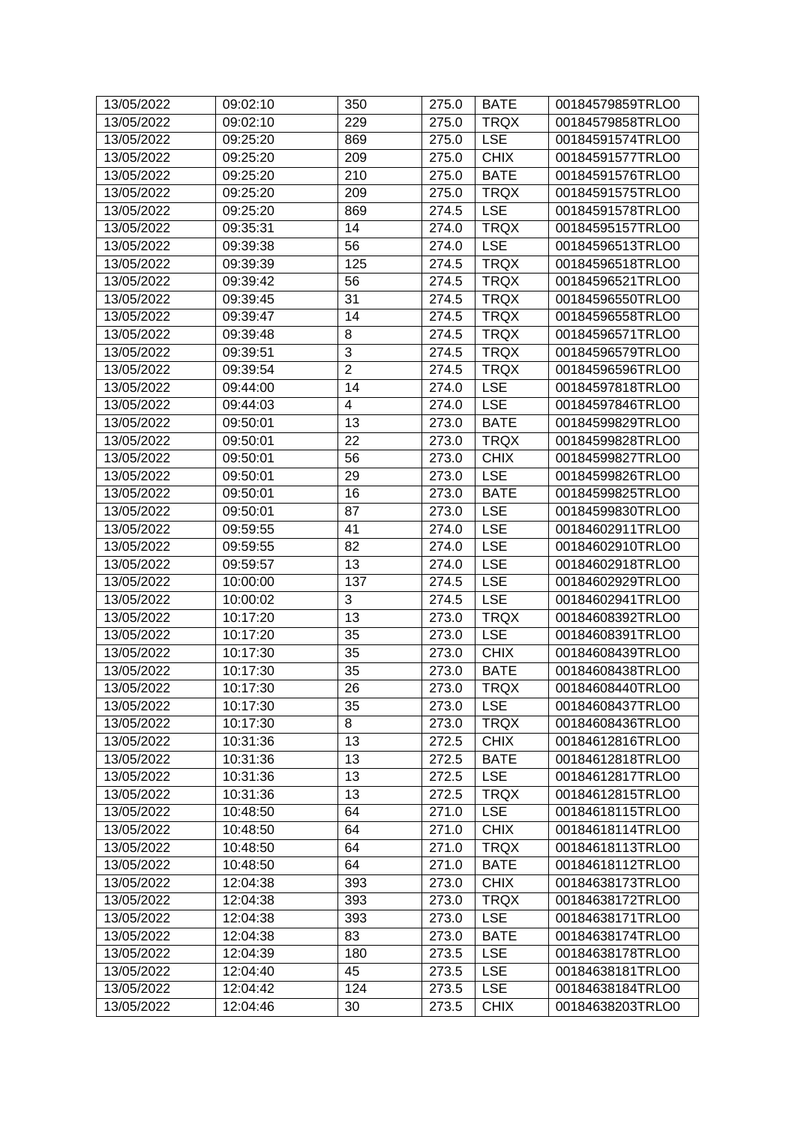| 13/05/2022 | 09:02:10 | 350                     | 275.0 | <b>BATE</b> | 00184579859TRLO0 |
|------------|----------|-------------------------|-------|-------------|------------------|
| 13/05/2022 | 09:02:10 | 229                     | 275.0 | <b>TRQX</b> | 00184579858TRLO0 |
| 13/05/2022 | 09:25:20 | 869                     | 275.0 | <b>LSE</b>  | 00184591574TRLO0 |
| 13/05/2022 | 09:25:20 | 209                     | 275.0 | <b>CHIX</b> | 00184591577TRLO0 |
| 13/05/2022 | 09:25:20 | 210                     | 275.0 | <b>BATE</b> | 00184591576TRLO0 |
| 13/05/2022 | 09:25:20 | 209                     | 275.0 | <b>TRQX</b> | 00184591575TRLO0 |
| 13/05/2022 | 09:25:20 | 869                     | 274.5 | <b>LSE</b>  | 00184591578TRLO0 |
| 13/05/2022 | 09:35:31 | 14                      | 274.0 | <b>TRQX</b> | 00184595157TRLO0 |
| 13/05/2022 | 09:39:38 | 56                      | 274.0 | <b>LSE</b>  | 00184596513TRLO0 |
| 13/05/2022 | 09:39:39 | 125                     | 274.5 | <b>TRQX</b> | 00184596518TRLO0 |
| 13/05/2022 | 09:39:42 | 56                      | 274.5 | <b>TRQX</b> | 00184596521TRLO0 |
| 13/05/2022 | 09:39:45 | 31                      | 274.5 | <b>TRQX</b> | 00184596550TRLO0 |
| 13/05/2022 | 09:39:47 | 14                      | 274.5 | <b>TRQX</b> | 00184596558TRLO0 |
| 13/05/2022 | 09:39:48 | 8                       | 274.5 | <b>TRQX</b> | 00184596571TRLO0 |
| 13/05/2022 | 09:39:51 | $\overline{3}$          | 274.5 | <b>TRQX</b> | 00184596579TRLO0 |
| 13/05/2022 | 09:39:54 | $\overline{2}$          | 274.5 | <b>TRQX</b> | 00184596596TRLO0 |
| 13/05/2022 | 09:44:00 | 14                      | 274.0 | <b>LSE</b>  | 00184597818TRLO0 |
| 13/05/2022 | 09:44:03 | $\overline{\mathbf{4}}$ | 274.0 | <b>LSE</b>  | 00184597846TRLO0 |
| 13/05/2022 | 09:50:01 | 13                      | 273.0 | <b>BATE</b> | 00184599829TRLO0 |
| 13/05/2022 | 09:50:01 | 22                      | 273.0 | <b>TRQX</b> | 00184599828TRLO0 |
| 13/05/2022 | 09:50:01 | 56                      | 273.0 | <b>CHIX</b> | 00184599827TRLO0 |
| 13/05/2022 | 09:50:01 | 29                      | 273.0 | <b>LSE</b>  | 00184599826TRLO0 |
| 13/05/2022 | 09:50:01 | 16                      | 273.0 | <b>BATE</b> | 00184599825TRLO0 |
| 13/05/2022 | 09:50:01 | 87                      | 273.0 | <b>LSE</b>  | 00184599830TRLO0 |
| 13/05/2022 | 09:59:55 | 41                      | 274.0 | <b>LSE</b>  | 00184602911TRLO0 |
| 13/05/2022 | 09:59:55 | 82                      | 274.0 | <b>LSE</b>  | 00184602910TRLO0 |
| 13/05/2022 | 09:59:57 | 13                      | 274.0 | <b>LSE</b>  | 00184602918TRLO0 |
| 13/05/2022 | 10:00:00 | 137                     | 274.5 | <b>LSE</b>  | 00184602929TRLO0 |
| 13/05/2022 | 10:00:02 | 3                       | 274.5 | <b>LSE</b>  | 00184602941TRLO0 |
| 13/05/2022 | 10:17:20 | 13                      | 273.0 | <b>TRQX</b> | 00184608392TRLO0 |
| 13/05/2022 | 10:17:20 | 35                      | 273.0 | <b>LSE</b>  | 00184608391TRLO0 |
| 13/05/2022 | 10:17:30 | 35                      | 273.0 | <b>CHIX</b> | 00184608439TRLO0 |
| 13/05/2022 | 10:17:30 | 35                      | 273.0 | <b>BATE</b> | 00184608438TRLO0 |
| 13/05/2022 | 10:17:30 | 26                      | 273.0 | <b>TRQX</b> | 00184608440TRLO0 |
| 13/05/2022 | 10:17:30 | 35                      | 273.0 | <b>LSE</b>  | 00184608437TRLO0 |
| 13/05/2022 | 10:17:30 | 8                       | 273.0 | <b>TRQX</b> | 00184608436TRLO0 |
| 13/05/2022 | 10:31:36 | 13                      | 272.5 | <b>CHIX</b> | 00184612816TRLO0 |
| 13/05/2022 | 10:31:36 | 13                      | 272.5 | <b>BATE</b> | 00184612818TRLO0 |
| 13/05/2022 | 10:31:36 | 13                      | 272.5 | <b>LSE</b>  | 00184612817TRLO0 |
| 13/05/2022 | 10:31:36 | 13                      | 272.5 | <b>TRQX</b> | 00184612815TRLO0 |
| 13/05/2022 | 10:48:50 | 64                      | 271.0 | <b>LSE</b>  | 00184618115TRLO0 |
| 13/05/2022 | 10:48:50 | 64                      | 271.0 | <b>CHIX</b> | 00184618114TRLO0 |
| 13/05/2022 | 10:48:50 | 64                      | 271.0 | <b>TRQX</b> | 00184618113TRLO0 |
| 13/05/2022 | 10:48:50 | 64                      | 271.0 | <b>BATE</b> | 00184618112TRLO0 |
| 13/05/2022 | 12:04:38 | 393                     | 273.0 | <b>CHIX</b> | 00184638173TRLO0 |
| 13/05/2022 | 12:04:38 | 393                     | 273.0 | <b>TRQX</b> | 00184638172TRLO0 |
| 13/05/2022 | 12:04:38 | 393                     | 273.0 | <b>LSE</b>  | 00184638171TRLO0 |
| 13/05/2022 | 12:04:38 | 83                      | 273.0 | <b>BATE</b> | 00184638174TRLO0 |
| 13/05/2022 | 12:04:39 | 180                     | 273.5 | <b>LSE</b>  | 00184638178TRLO0 |
| 13/05/2022 | 12:04:40 | 45                      | 273.5 | <b>LSE</b>  | 00184638181TRLO0 |
| 13/05/2022 | 12:04:42 | 124                     | 273.5 | <b>LSE</b>  | 00184638184TRLO0 |
| 13/05/2022 | 12:04:46 | 30                      | 273.5 | <b>CHIX</b> | 00184638203TRLO0 |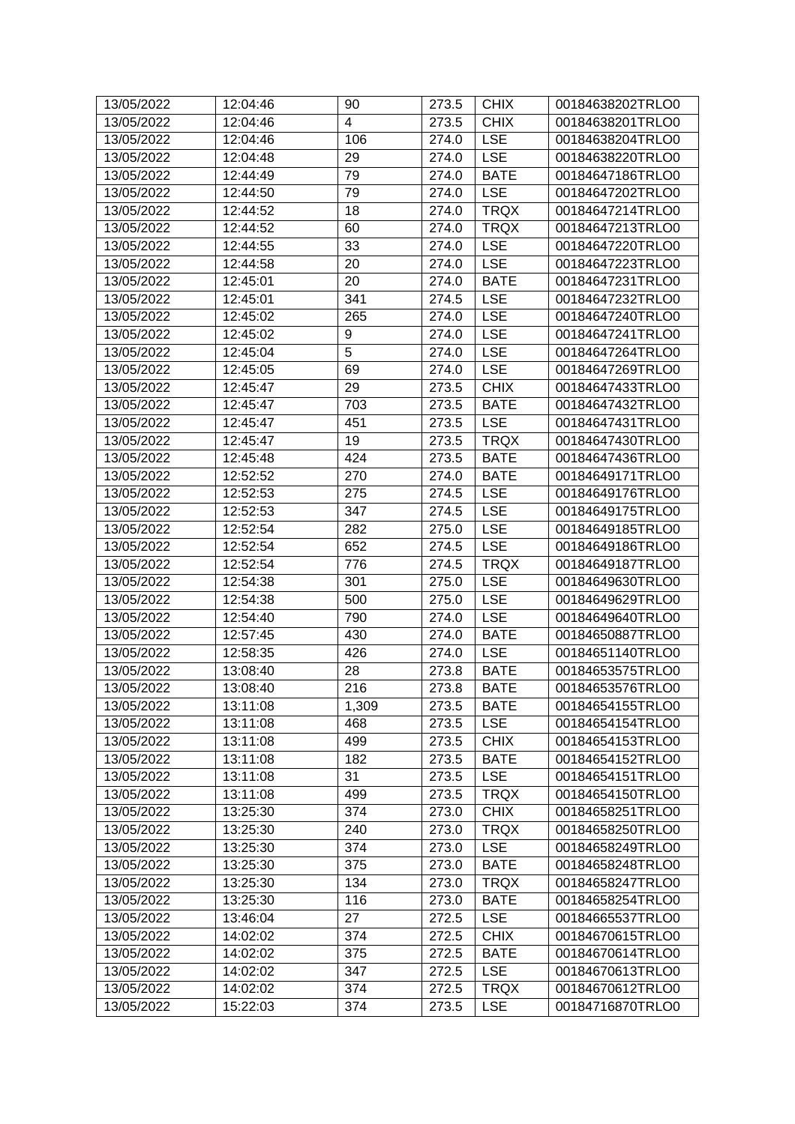| 13/05/2022 | 12:04:46 | 90    | 273.5 | <b>CHIX</b> | 00184638202TRLO0 |
|------------|----------|-------|-------|-------------|------------------|
| 13/05/2022 | 12:04:46 | 4     | 273.5 | <b>CHIX</b> | 00184638201TRLO0 |
| 13/05/2022 | 12:04:46 | 106   | 274.0 | <b>LSE</b>  | 00184638204TRLO0 |
| 13/05/2022 | 12:04:48 | 29    | 274.0 | <b>LSE</b>  | 00184638220TRLO0 |
| 13/05/2022 | 12:44:49 | 79    | 274.0 | <b>BATE</b> | 00184647186TRLO0 |
| 13/05/2022 | 12:44:50 | 79    | 274.0 | <b>LSE</b>  | 00184647202TRLO0 |
| 13/05/2022 | 12:44:52 | 18    | 274.0 | <b>TRQX</b> | 00184647214TRLO0 |
| 13/05/2022 | 12:44:52 | 60    | 274.0 | <b>TRQX</b> | 00184647213TRLO0 |
| 13/05/2022 | 12:44:55 | 33    | 274.0 | <b>LSE</b>  | 00184647220TRLO0 |
| 13/05/2022 | 12:44:58 | 20    | 274.0 | <b>LSE</b>  | 00184647223TRLO0 |
| 13/05/2022 | 12:45:01 | 20    | 274.0 | <b>BATE</b> | 00184647231TRLO0 |
| 13/05/2022 | 12:45:01 | 341   | 274.5 | <b>LSE</b>  | 00184647232TRLO0 |
| 13/05/2022 | 12:45:02 | 265   | 274.0 | <b>LSE</b>  | 00184647240TRLO0 |
| 13/05/2022 | 12:45:02 | 9     | 274.0 | <b>LSE</b>  | 00184647241TRLO0 |
| 13/05/2022 | 12:45:04 | 5     | 274.0 | <b>LSE</b>  | 00184647264TRLO0 |
| 13/05/2022 | 12:45:05 | 69    | 274.0 | <b>LSE</b>  | 00184647269TRLO0 |
| 13/05/2022 | 12:45:47 | 29    | 273.5 | <b>CHIX</b> | 00184647433TRLO0 |
| 13/05/2022 | 12:45:47 | 703   | 273.5 | <b>BATE</b> | 00184647432TRLO0 |
| 13/05/2022 | 12:45:47 | 451   | 273.5 | <b>LSE</b>  | 00184647431TRLO0 |
| 13/05/2022 | 12:45:47 | 19    | 273.5 | <b>TRQX</b> | 00184647430TRLO0 |
| 13/05/2022 | 12:45:48 | 424   | 273.5 | <b>BATE</b> | 00184647436TRLO0 |
| 13/05/2022 | 12:52:52 | 270   | 274.0 | <b>BATE</b> | 00184649171TRLO0 |
| 13/05/2022 | 12:52:53 | 275   | 274.5 | <b>LSE</b>  | 00184649176TRLO0 |
| 13/05/2022 | 12:52:53 | 347   | 274.5 | <b>LSE</b>  | 00184649175TRLO0 |
| 13/05/2022 | 12:52:54 | 282   | 275.0 | <b>LSE</b>  | 00184649185TRLO0 |
| 13/05/2022 | 12:52:54 | 652   | 274.5 | <b>LSE</b>  | 00184649186TRLO0 |
| 13/05/2022 | 12:52:54 | 776   | 274.5 | <b>TRQX</b> | 00184649187TRLO0 |
| 13/05/2022 | 12:54:38 | 301   | 275.0 | <b>LSE</b>  | 00184649630TRLO0 |
| 13/05/2022 | 12:54:38 | 500   | 275.0 | <b>LSE</b>  | 00184649629TRLO0 |
| 13/05/2022 | 12:54:40 | 790   | 274.0 | <b>LSE</b>  | 00184649640TRLO0 |
| 13/05/2022 | 12:57:45 | 430   | 274.0 | <b>BATE</b> | 00184650887TRLO0 |
| 13/05/2022 | 12:58:35 | 426   | 274.0 | <b>LSE</b>  | 00184651140TRLO0 |
| 13/05/2022 | 13:08:40 | 28    | 273.8 | <b>BATE</b> | 00184653575TRLO0 |
| 13/05/2022 | 13:08:40 | 216   | 273.8 | <b>BATE</b> | 00184653576TRLO0 |
| 13/05/2022 | 13:11:08 | 1,309 | 273.5 | <b>BATE</b> | 00184654155TRLO0 |
| 13/05/2022 | 13:11:08 | 468   | 273.5 | <b>LSE</b>  | 00184654154TRLO0 |
| 13/05/2022 | 13:11:08 | 499   | 273.5 | <b>CHIX</b> | 00184654153TRLO0 |
| 13/05/2022 | 13:11:08 | 182   | 273.5 | <b>BATE</b> | 00184654152TRLO0 |
| 13/05/2022 | 13:11:08 | 31    | 273.5 | <b>LSE</b>  | 00184654151TRLO0 |
| 13/05/2022 | 13:11:08 | 499   | 273.5 | <b>TRQX</b> | 00184654150TRLO0 |
| 13/05/2022 | 13:25:30 | 374   | 273.0 | <b>CHIX</b> | 00184658251TRLO0 |
| 13/05/2022 | 13:25:30 | 240   | 273.0 | <b>TRQX</b> | 00184658250TRLO0 |
| 13/05/2022 | 13:25:30 | 374   | 273.0 | <b>LSE</b>  | 00184658249TRLO0 |
| 13/05/2022 |          | 375   |       | <b>BATE</b> | 00184658248TRLO0 |
|            | 13:25:30 |       | 273.0 |             |                  |
| 13/05/2022 | 13:25:30 | 134   | 273.0 | <b>TRQX</b> | 00184658247TRLO0 |
| 13/05/2022 | 13:25:30 | 116   | 273.0 | <b>BATE</b> | 00184658254TRLO0 |
| 13/05/2022 | 13:46:04 | 27    | 272.5 | <b>LSE</b>  | 00184665537TRLO0 |
| 13/05/2022 | 14:02:02 | 374   | 272.5 | <b>CHIX</b> | 00184670615TRLO0 |
| 13/05/2022 | 14:02:02 | 375   | 272.5 | <b>BATE</b> | 00184670614TRLO0 |
| 13/05/2022 | 14:02:02 | 347   | 272.5 | <b>LSE</b>  | 00184670613TRLO0 |
| 13/05/2022 | 14:02:02 | 374   | 272.5 | <b>TRQX</b> | 00184670612TRLO0 |
| 13/05/2022 | 15:22:03 | 374   | 273.5 | <b>LSE</b>  | 00184716870TRLO0 |